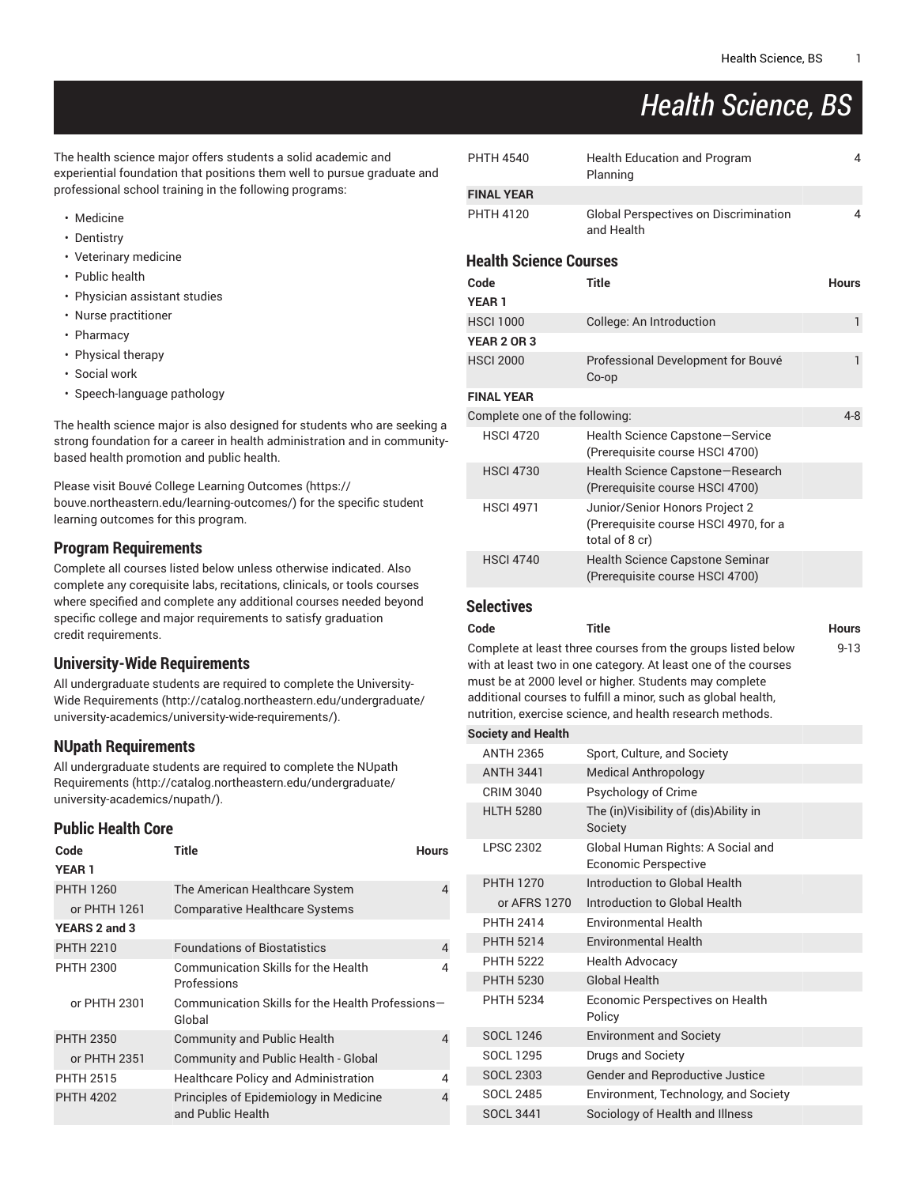# *Health Science, BS*

The health science major offers students a solid academic and experiential foundation that positions them well to pursue graduate and professional school training in the following programs:

- Medicine
- Dentistry
- Veterinary medicine
- Public health
- Physician assistant studies
- Nurse practitioner
- Pharmacy
- Physical therapy
- Social work
- Speech-language pathology

The health science major is also designed for students who are seeking a strong foundation for a career in health administration and in communitybased health promotion and public health.

Please visit Bouvé College Learning [Outcomes](https://bouve.northeastern.edu/learning-outcomes/) ([https://](https://bouve.northeastern.edu/learning-outcomes/) [bouve.northeastern.edu/learning-outcomes/\)](https://bouve.northeastern.edu/learning-outcomes/) for the specific student learning outcomes for this program.

## **Program Requirements**

Complete all courses listed below unless otherwise indicated. Also complete any corequisite labs, recitations, clinicals, or tools courses where specified and complete any additional courses needed beyond specific college and major requirements to satisfy graduation credit requirements.

## **University-Wide Requirements**

All undergraduate students are required to complete the [University-](http://catalog.northeastern.edu/undergraduate/university-academics/university-wide-requirements/)Wide [Requirements](http://catalog.northeastern.edu/undergraduate/university-academics/university-wide-requirements/) ([http://catalog.northeastern.edu/undergraduate/](http://catalog.northeastern.edu/undergraduate/university-academics/university-wide-requirements/) [university-academics/university-wide-requirements/\)](http://catalog.northeastern.edu/undergraduate/university-academics/university-wide-requirements/).

# **NUpath Requirements**

All undergraduate students are required to complete the [NUpath](http://catalog.northeastern.edu/undergraduate/university-academics/nupath/) [Requirements](http://catalog.northeastern.edu/undergraduate/university-academics/nupath/) ([http://catalog.northeastern.edu/undergraduate/](http://catalog.northeastern.edu/undergraduate/university-academics/nupath/) [university-academics/nupath/](http://catalog.northeastern.edu/undergraduate/university-academics/nupath/)).

## **Public Health Core**

| Code<br><b>YEAR1</b> | Title                                                       | <b>Hours</b> |
|----------------------|-------------------------------------------------------------|--------------|
| <b>PHTH 1260</b>     | The American Healthcare System                              | 4            |
| or PHTH 1261         | <b>Comparative Healthcare Systems</b>                       |              |
| YEARS 2 and 3        |                                                             |              |
| <b>PHTH 2210</b>     | <b>Foundations of Biostatistics</b>                         | 4            |
| <b>PHTH 2300</b>     | <b>Communication Skills for the Health</b><br>Professions   | 4            |
| or PHTH 2301         | Communication Skills for the Health Professions-<br>Global  |              |
| <b>PHTH 2350</b>     | <b>Community and Public Health</b>                          | 4            |
| or PHTH 2351         | Community and Public Health - Global                        |              |
| <b>PHTH 2515</b>     | <b>Healthcare Policy and Administration</b>                 | 4            |
| <b>PHTH 4202</b>     | Principles of Epidemiology in Medicine<br>and Public Health | 4            |

| <b>PHTH 4540</b>               | <b>Health Education and Program</b><br>Planning                                           | 4            |
|--------------------------------|-------------------------------------------------------------------------------------------|--------------|
| <b>FINAL YEAR</b>              |                                                                                           |              |
| <b>PHTH 4120</b>               | <b>Global Perspectives on Discrimination</b><br>and Health                                | 4            |
| <b>Health Science Courses</b>  |                                                                                           |              |
| Code                           | <b>Title</b>                                                                              | <b>Hours</b> |
| <b>YEAR1</b>                   |                                                                                           |              |
| <b>HSCI 1000</b>               | College: An Introduction                                                                  | $\mathbf{1}$ |
| <b>YEAR 2 OR 3</b>             |                                                                                           |              |
| <b>HSCI 2000</b>               | Professional Development for Bouvé<br>Co-op                                               | $\mathbf{1}$ |
| <b>FINAL YEAR</b>              |                                                                                           |              |
| Complete one of the following: |                                                                                           | $4 - 8$      |
| <b>HSCI 4720</b>               | Health Science Capstone-Service<br>(Prerequisite course HSCI 4700)                        |              |
| <b>HSCI 4730</b>               | Health Science Capstone-Research<br>(Prerequisite course HSCI 4700)                       |              |
| <b>HSCI 4971</b>               | Junior/Senior Honors Project 2<br>(Prerequisite course HSCI 4970, for a<br>total of 8 cr) |              |
| <b>HSCI 4740</b>               | Health Science Capstone Seminar<br>(Prerequisite course HSCI 4700)                        |              |
|                                |                                                                                           |              |

## **Selectives**

| Code | Title                                                          | <b>Hours</b> |
|------|----------------------------------------------------------------|--------------|
|      | Complete at least three courses from the groups listed below   | $9 - 13$     |
|      | with at least two in one category. At least one of the courses |              |
|      | must be at 2000 level or higher. Students may complete         |              |
|      | additional courses to fulfill a minor, such as global health,  |              |
|      | nutrition, exercise science, and health research methods.      |              |

#### **Society and Health**

| <b>OUGLY AND LIGARD</b> |                                                           |
|-------------------------|-----------------------------------------------------------|
| <b>ANTH 2365</b>        | Sport, Culture, and Society                               |
| <b>ANTH 3441</b>        | <b>Medical Anthropology</b>                               |
| CRIM 3040               | Psychology of Crime                                       |
| <b>HLTH 5280</b>        | The (in)Visibility of (dis)Ability in<br>Society          |
| <b>LPSC 2302</b>        | Global Human Rights: A Social and<br>Economic Perspective |
| <b>PHTH 1270</b>        | Introduction to Global Health                             |
| or AFRS 1270            | Introduction to Global Health                             |
| <b>PHTH 2414</b>        | <b>Environmental Health</b>                               |
| <b>PHTH 5214</b>        | <b>Environmental Health</b>                               |
| <b>PHTH 5222</b>        | <b>Health Advocacy</b>                                    |
| <b>PHTH 5230</b>        | <b>Global Health</b>                                      |
| <b>PHTH 5234</b>        | Economic Perspectives on Health<br>Policy                 |
| <b>SOCL 1246</b>        | <b>Environment and Society</b>                            |
| <b>SOCL 1295</b>        | Drugs and Society                                         |
| <b>SOCL 2303</b>        | <b>Gender and Reproductive Justice</b>                    |
| <b>SOCL 2485</b>        | Environment, Technology, and Society                      |
| <b>SOCL 3441</b>        | Sociology of Health and Illness                           |
|                         |                                                           |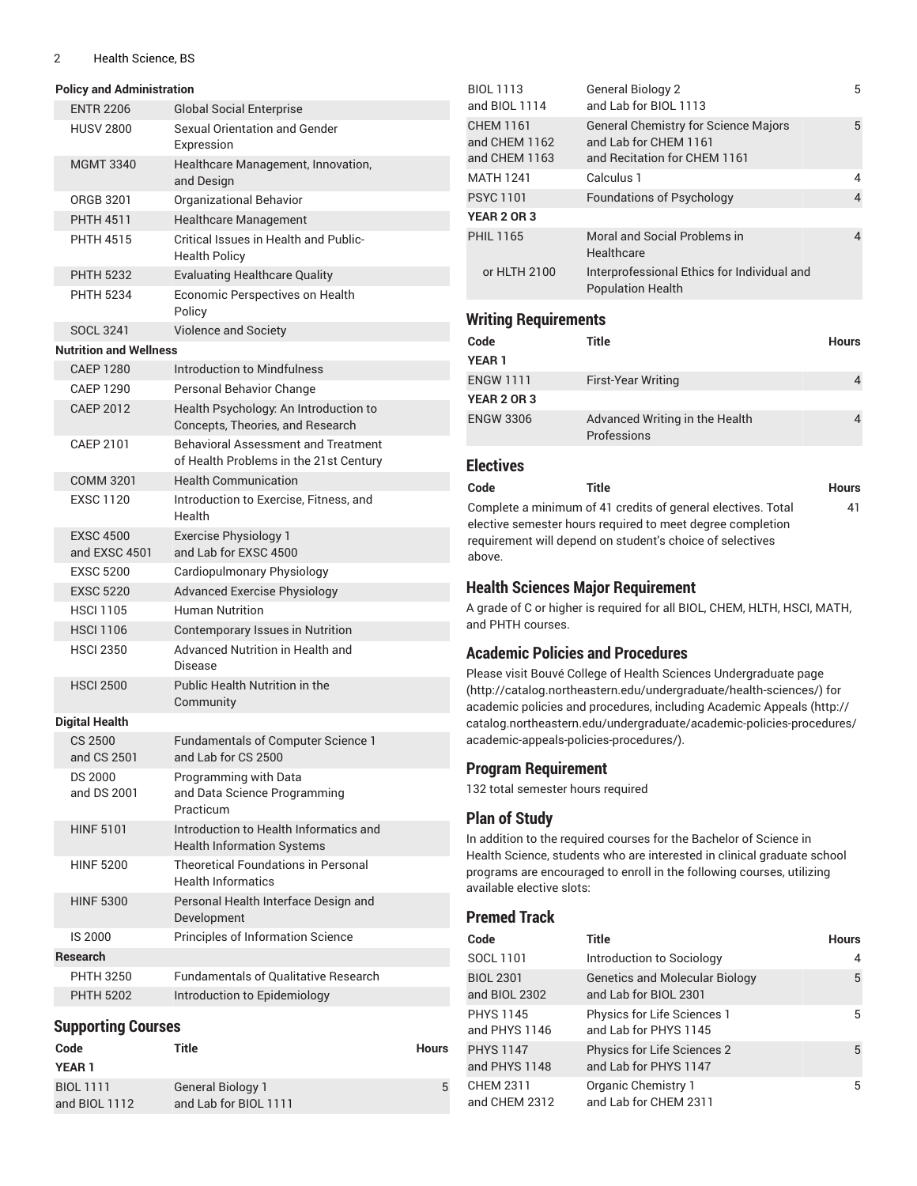#### 2 Health Science, BS

| <b>Policy and Administration</b> |  |  |
|----------------------------------|--|--|
|                                  |  |  |

**YEAR 1** BIOL 1111 and BIOL 1112

| <b>ENTR 2206</b>                  | <b>Global Social Enterprise</b>                                               |       |
|-----------------------------------|-------------------------------------------------------------------------------|-------|
| <b>HUSV 2800</b>                  | <b>Sexual Orientation and Gender</b><br>Expression                            |       |
| <b>MGMT 3340</b>                  | Healthcare Management, Innovation,<br>and Design                              |       |
| ORGB 3201                         | Organizational Behavior                                                       |       |
| <b>PHTH 4511</b>                  | <b>Healthcare Management</b>                                                  |       |
| <b>PHTH 4515</b>                  | Critical Issues in Health and Public-<br><b>Health Policy</b>                 |       |
| <b>PHTH 5232</b>                  | <b>Evaluating Healthcare Quality</b>                                          |       |
| <b>PHTH 5234</b>                  | Economic Perspectives on Health<br>Policy                                     |       |
| <b>SOCL 3241</b>                  | <b>Violence and Society</b>                                                   |       |
| <b>Nutrition and Wellness</b>     |                                                                               |       |
| <b>CAEP 1280</b>                  | Introduction to Mindfulness                                                   |       |
| <b>CAEP 1290</b>                  | Personal Behavior Change                                                      |       |
| <b>CAEP 2012</b>                  | Health Psychology: An Introduction to<br>Concepts, Theories, and Research     |       |
| CAEP 2101                         | Behavioral Assessment and Treatment<br>of Health Problems in the 21st Century |       |
| <b>COMM 3201</b>                  | <b>Health Communication</b>                                                   |       |
| <b>EXSC 1120</b>                  | Introduction to Exercise, Fitness, and<br>Health                              |       |
| <b>EXSC 4500</b><br>and EXSC 4501 | <b>Exercise Physiology 1</b><br>and Lab for EXSC 4500                         |       |
| <b>EXSC 5200</b>                  | Cardiopulmonary Physiology                                                    |       |
| <b>EXSC 5220</b>                  | <b>Advanced Exercise Physiology</b>                                           |       |
| <b>HSCI 1105</b>                  | <b>Human Nutrition</b>                                                        |       |
| <b>HSCI 1106</b>                  | Contemporary Issues in Nutrition                                              |       |
| <b>HSCI 2350</b>                  | Advanced Nutrition in Health and<br>Disease                                   |       |
| <b>HSCI 2500</b>                  | Public Health Nutrition in the<br>Community                                   |       |
| <b>Digital Health</b>             |                                                                               |       |
| CS 2500<br>and CS 2501            | <b>Fundamentals of Computer Science 1</b><br>and Lab for CS 2500              |       |
| <b>DS 2000</b><br>and DS 2001     | Programming with Data<br>and Data Science Programming<br>Practicum            |       |
| <b>HINF 5101</b>                  | Introduction to Health Informatics and<br><b>Health Information Systems</b>   |       |
| <b>HINF 5200</b>                  | <b>Theoretical Foundations in Personal</b><br><b>Health Informatics</b>       |       |
| <b>HINF 5300</b>                  | Personal Health Interface Design and<br>Development                           |       |
| IS 2000                           | Principles of Information Science                                             |       |
| <b>Research</b>                   |                                                                               |       |
| <b>PHTH 3250</b>                  | <b>Fundamentals of Qualitative Research</b>                                   |       |
| <b>PHTH 5202</b>                  | Introduction to Epidemiology                                                  |       |
|                                   |                                                                               |       |
| <b>Supporting Courses</b><br>Code | Title                                                                         | Hours |

General Biology 1 and Lab for BIOL 1111

| <b>BIOL 1113</b><br>and BIOL 1114                  | <b>General Biology 2</b><br>and Lab for BIOL 1113                                                    | 5              |
|----------------------------------------------------|------------------------------------------------------------------------------------------------------|----------------|
| <b>CHEM 1161</b><br>and CHEM 1162<br>and CHEM 1163 | <b>General Chemistry for Science Majors</b><br>and Lab for CHEM 1161<br>and Recitation for CHEM 1161 | 5              |
| MATH 1241                                          | Calculus 1                                                                                           | 4              |
| <b>PSYC1101</b>                                    | <b>Foundations of Psychology</b>                                                                     | $\overline{4}$ |
| <b>YEAR 2 OR 3</b>                                 |                                                                                                      |                |
| <b>PHIL 1165</b>                                   | Moral and Social Problems in<br>Healthcare                                                           | 4              |
| or HLTH 2100                                       | Interprofessional Ethics for Individual and<br><b>Population Health</b>                              |                |
|                                                    |                                                                                                      |                |

## **Writing Requirements**

| Code             | Title                                         | <b>Hours</b>   |
|------------------|-----------------------------------------------|----------------|
| <b>YEAR 1</b>    |                                               |                |
| <b>ENGW 1111</b> | <b>First-Year Writing</b>                     | $\overline{4}$ |
| YEAR 2 OR 3      |                                               |                |
| <b>ENGW 3306</b> | Advanced Writing in the Health<br>Professions |                |

#### **Electives**

above.

| Code | Title                                                        | <b>Hours</b> |
|------|--------------------------------------------------------------|--------------|
|      | Complete a minimum of 41 credits of general electives. Total | 41           |
|      | elective semester hours required to meet degree completion   |              |
|      | requirement will depend on student's choice of selectives    |              |

## **Health Sciences Major Requirement**

A grade of C or higher is required for all BIOL, CHEM, HLTH, HSCI, MATH, and PHTH courses.

## **Academic Policies and Procedures**

Please visit Bouvé College of Health Sciences [Undergraduate](http://catalog.northeastern.edu/undergraduate/health-sciences/) page [\(http://catalog.northeastern.edu/undergraduate/health-sciences/](http://catalog.northeastern.edu/undergraduate/health-sciences/)) for academic policies and procedures, including [Academic Appeals](http://catalog.northeastern.edu/undergraduate/academic-policies-procedures/academic-appeals-policies-procedures/) [\(http://](http://catalog.northeastern.edu/undergraduate/academic-policies-procedures/academic-appeals-policies-procedures/) [catalog.northeastern.edu/undergraduate/academic-policies-procedures/](http://catalog.northeastern.edu/undergraduate/academic-policies-procedures/academic-appeals-policies-procedures/) [academic-appeals-policies-procedures/\)](http://catalog.northeastern.edu/undergraduate/academic-policies-procedures/academic-appeals-policies-procedures/).

## **Program Requirement**

132 total semester hours required

#### **Plan of Study**

In addition to the required courses for the Bachelor of Science in Health Science, students who are interested in clinical graduate school programs are encouraged to enroll in the following courses, utilizing available elective slots:

# **Premed Track**

5

| Code                              | <b>Title</b>                                                   | <b>Hours</b> |
|-----------------------------------|----------------------------------------------------------------|--------------|
| SOCL 1101                         | Introduction to Sociology                                      | 4            |
| <b>BIOL 2301</b><br>and BIOL 2302 | <b>Genetics and Molecular Biology</b><br>and Lab for BIOL 2301 | 5            |
| <b>PHYS 1145</b><br>and PHYS 1146 | Physics for Life Sciences 1<br>and Lab for PHYS 1145           | 5            |
| <b>PHYS 1147</b><br>and PHYS 1148 | Physics for Life Sciences 2<br>and Lab for PHYS 1147           | 5            |
| <b>CHEM 2311</b><br>and CHEM 2312 | Organic Chemistry 1<br>and Lab for CHEM 2311                   | 5            |